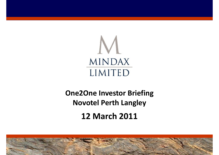

## **12 March 2011 One2One Investor Briefing Novotel Perth Langley**

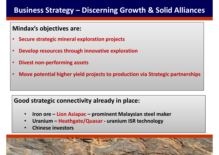### **Business Strategy – Discerning Growth & Solid Alliances**

### **Mindax's objectives are:**

- **Secure strategic mineral exploration projects**
- **Develop resources through innovative exploration**
- **Divest non-performing assets**
- **Move potential higher yield projects to production via Strategic partnerships**

### **Good strategic connectivity already in place:**

- **Iron ore – Lion Asiapac prominent Malaysian steel maker**
- **Uranium – Heathgate/Quasar uranium ISR technology**
- **Chinese investors**

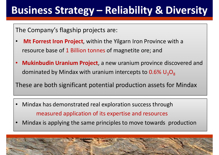# **Business Strategy – Reliability & Diversity**

The Company's flagship projects are:

- **Mt Forrest Iron Project**, within the Yilgarn Iron Province with a resource base of 1 Billion tonnes of magnetite ore; and
- **Mukinbudin Uranium Project**, a new uranium province discovered and dominated by Mindax with uranium intercepts to  $0.6\%$  U<sub>3</sub>O<sub>8</sub>

These are both significant potential production assets for Mindax

- Mindax has demonstrated real exploration success through measured application of its expertise and resources
- Mindax is applying the same principles to move towards production

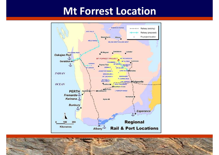## **Mt Forrest Location**



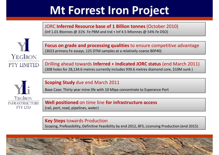# **Mt Forrest Iron Project**

JORC **Inferred Resource base of 1 Billion tonnes** (October 2010) (Inf 1.01 Btonnes @ 31% Fe PBM and Ind + Inf 4.5 Mtonnes @ 54% Fe DSO)



**Focus on grade and processing qualities** to ensure competitive advantage (3023 primary Fe assays, 125 DTM samples at a relatively coarse 80P40)

Drilling ahead towards **Inferred + Indicated JORC status** (end March 2011) (308 holes for 28,134.6 metres currently includes 939.6 metres diamond core, \$10M sunk )



#### **Scoping Study** due end March 2011

Base Case: Thirty year mine life with 10 Mtpa concentrate to Esperance Port

**Well positioned** on time line **for infrastructure access** (rail, port, road, pipelines, water)

#### **Key Steps** towards Production

Scoping, Prefeasibility, Definitive Feasibility by end 2012, BFS, Licensing Production (end 2015)

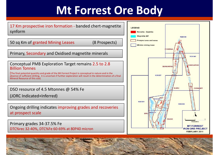# **Mt Forrest Ore Body**

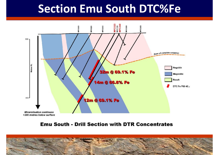# **Section Emu South DTC%Fe**



#### **Emu South - Drill Section with DTR Concentrates**

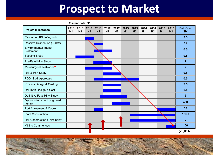# **Prospect to Market**

**Current date**

| <b>Project Milestones</b>                       | 2010<br>H1 | 2010<br>H <sub>2</sub> | 2011<br>H <sub>1</sub> | 2011<br>H <sub>2</sub> | 2012<br>H1 | 2012<br>H <sub>2</sub> | 2013<br>H <sub>1</sub> | 2013<br>H <sub>2</sub> | 2014<br>H1 | 2014<br>H <sub>2</sub> | 2015<br>H <sub>1</sub> | 2015<br>H <sub>2</sub> | <b>Est. Cost</b><br>(SM) |
|-------------------------------------------------|------------|------------------------|------------------------|------------------------|------------|------------------------|------------------------|------------------------|------------|------------------------|------------------------|------------------------|--------------------------|
| Resource (1Bt, Infer, Ind)                      |            |                        |                        |                        |            |                        |                        |                        |            |                        |                        |                        | 3.5                      |
| Reserve Delineation (600Mt)                     |            |                        |                        |                        |            |                        |                        |                        |            |                        |                        |                        | 10                       |
| <b>Environmental Impact</b><br><b>Statement</b> |            |                        |                        |                        |            |                        |                        |                        |            |                        |                        |                        | 0.5                      |
| <b>Scoping Study</b>                            |            |                        |                        |                        |            |                        |                        |                        |            |                        |                        |                        | 0.5                      |
| Pre-Feasibility Study                           |            |                        |                        |                        |            |                        |                        |                        |            |                        |                        |                        | $\overline{1}$           |
| Metallurgical Test-work**                       |            |                        |                        |                        |            |                        |                        |                        |            |                        |                        |                        | $\overline{2}$           |
| Rail & Port Study                               |            |                        |                        |                        |            |                        |                        |                        |            |                        |                        |                        | 0.5                      |
| PDD <sup>*</sup> & All Approvals                |            |                        |                        |                        |            |                        |                        |                        |            |                        |                        |                        | 0.5                      |
| Process Design & Costing                        |            |                        |                        |                        |            |                        |                        |                        |            |                        |                        |                        | 2.5                      |
| Rail Infra Design & Cost                        |            |                        |                        |                        |            |                        |                        |                        |            |                        |                        |                        | 2.5                      |
| <b>Definitive Feasibility Study</b>             |            |                        |                        |                        |            |                        |                        |                        |            |                        |                        |                        | $5\phantom{1}$           |
| Decision to mine (Long Lead<br>Items)           |            |                        |                        |                        |            |                        |                        |                        |            |                        |                        |                        | 450                      |
| Port Agreement & Capex                          |            |                        |                        |                        |            |                        |                        |                        |            |                        |                        |                        | 50                       |
| <b>Plant Construction</b>                       |            |                        |                        |                        |            |                        |                        |                        |            |                        |                        |                        | 1,188                    |
| Rail Construction (Third party)                 |            |                        |                        |                        |            |                        |                        |                        |            |                        |                        |                        | $\mathbf{0}$             |
| <b>Mining Commences</b>                         |            |                        |                        |                        |            |                        |                        |                        |            |                        |                        |                        | 100                      |
|                                                 |            |                        |                        |                        |            |                        |                        |                        |            |                        |                        |                        | \$1,816                  |

**\$1,816**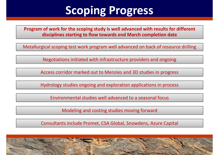# **Scoping Progress**

**Program of work for the scoping study is well advanced with results for different disciplines starting to flow towards end March completion date**

Metallurgical scoping test work program well advanced on back of resource drilling

Negotiations initiated with infrastructure providers and ongoing

Access corridor marked out to Menzies and 3D studies in progress

Hydrology studies ongoing and exploration applications in process

Environmental studies well advanced to a seasonal focus

Modeling and costing studies moving forward

Consultants include Promet, CSA Global, Snowdens, Azure Capital

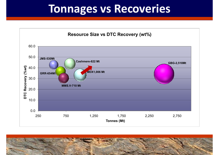## **Tonnages vs Recoveries**



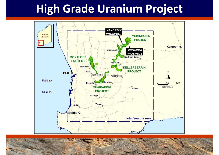# **High Grade Uranium Project**



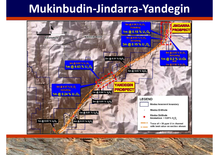# **Mukinbudin-Jindarra-Yandegin**

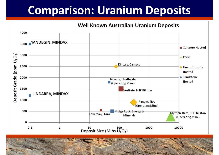# **Comparison: Uranium Deposits**

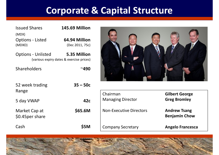### **Corporate & Capital Structure**

| <b>Issued Shares</b>              | <b>145.69 Million</b>            |
|-----------------------------------|----------------------------------|
| (MDX)                             |                                  |
| <b>Options - Listed</b><br>(MDXO) | 64.94 Million<br>(Dec 2011, 75c) |
| Ontione Unlictod                  | $E$ $2E$ Millian                 |

Options - Unlisted **5.35 Million** (various expiry dates & exercise prices)

Shareholders **~490** 



| 52 week trading                   | $35 - 50c$ |                                |                                             |
|-----------------------------------|------------|--------------------------------|---------------------------------------------|
| Range                             |            | Chairman                       | <b>Gilbert George</b>                       |
| 5 day VWAP                        | 42c        | <b>Managing Director</b>       | <b>Greg Bromley</b>                         |
| Market Cap at<br>\$0.45 per share | \$65.6M    | <b>Non-Executive Directors</b> | <b>Andrew Tsang</b><br><b>Benjamin Chow</b> |
| Cash                              | \$5M       | <b>Company Secretary</b>       | <b>Angelo Francesca</b>                     |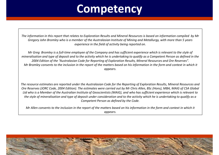# **Competency**

*The information in this report that relates to Exploration Results and Mineral Resources is based on information compiled by Mr Gregory John Bromley who is a member of the Australasian Institute of Mining and Metallurgy, with more than 5 years experience in the field of activity being reported on.*

*Mr Greg Bromley is a full-time employee of the Company and has sufficient experience which is relevant to the style of mineralisation and type of deposit and to the activity which he is undertaking to qualify as a Competent Person as defined in the 2004 Edition of the "Australasian Code for Reporting of Exploration Results, Mineral Resources and Ore Reserves". Mr Bromley consents to the inclusion in the report of the matters based on his information in the form and context in which it appears.*

*The resource estimates are reported under the Australasian Code for the Reporting of Exploration Results, Mineral Resources and Ore Reserves (JORC Code, 2004 Edition). The estimates were carried out by Mr Chris Allen, BSc (Hons), MBA, MAIG of CSA Global Ltd who is a Member of the Australian Institute of Geoscientists (MAIG), and who has sufficient experience which is relevant to the style of mineralisation and type of deposit under consideration and to the activity which he is undertaking to qualify as a Competent Person as defined by the Code.*

*Mr Allen consents to the inclusion in the report of the matters based on his information in the form and context in which it appears.*

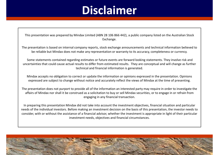# **Disclaimer**

This presentation was prepared by Mindax Limited (ABN 28 106 866 442), a public company listed on the Australian Stock Exchange.

The presentation is based on internal company reports, stock exchange announcements and technical information believed to be reliable but Mindax does not make any representation or warranty to its accuracy, completeness or currency.

Some statements contained regarding estimates or future events are forward looking statements. They involve risk and uncertainties that could cause actual results to differ from estimated results. They are conceptual and will change as further technical and financial information is generated.

Mindax accepts no obligation to correct or update the information or opinions expressed in the presentation. Opinions expressed are subject to change without notice and accurately reflect the views of Mindax at the time of presenting.

The presentation does not purport to provide all of the information an interested party may require in order to investigate the affairs of Mindax nor shall it be construed as a solicitation to buy or sell Mindax securities, or to engage in or refrain from engaging in any financial transaction.

In preparing this presentation Mindax did not take into account the investment objectives, financial situation and particular needs of the individual investors. Before making an investment decision on the basis of this presentation, the investor needs to consider, with or without the assistance of a financial advisor, whether the investment is appropriate in light of their particular investment needs, objectives and financial circumstances.